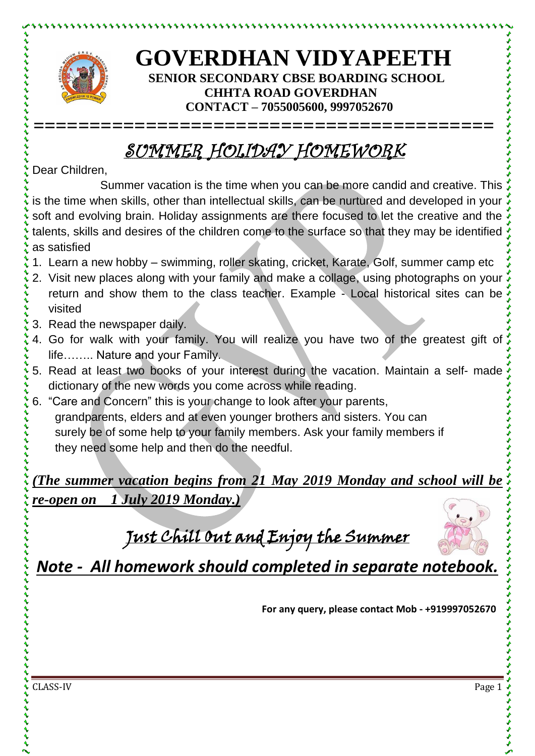

とけけいけいけいけい

## **GOVERDHAN VIDYAPEETH SENIOR SECONDARY CBSE BOARDING SCHOOL CHHTA ROAD GOVERDHAN CONTACT – 7055005600, 9997052670**

## SUMMER HOLIDAY HOMEWORK

**=========================================**

Dear Children,

Summer vacation is the time when you can be more candid and creative. This is the time when skills, other than intellectual skills, can be nurtured and developed in your soft and evolving brain. Holiday assignments are there focused to let the creative and the talents, skills and desires of the children come to the surface so that they may be identified as satisfied

- 1. Learn a new hobby swimming, roller skating, cricket, Karate, Golf, summer camp etc
- 2. Visit new places along with your family and make a collage, using photographs on your return and show them to the class teacher. Example - Local historical sites can be visited
- 3. Read the newspaper daily.
- 4. Go for walk with your family. You will realize you have two of the greatest gift of life…….. Nature and your Family.
- 5. Read at least two books of your interest during the vacation. Maintain a self- made dictionary of the new words you come across while reading.
- 6. "Care and Concern" this is your change to look after your parents, grandparents, elders and at even younger brothers and sisters. You can surely be of some help to your family members. Ask your family members if they need some help and then do the needful.

*(The summer vacation begins from 21 May 2019 Monday and school will be re-open on 1 July 2019 Monday.)*

Just Chill Out and Enjoy the Summer



*Note - All homework should completed in separate notebook.*

**For any query, please contact Mob - +919997052670**

CLASS-IV Page 1